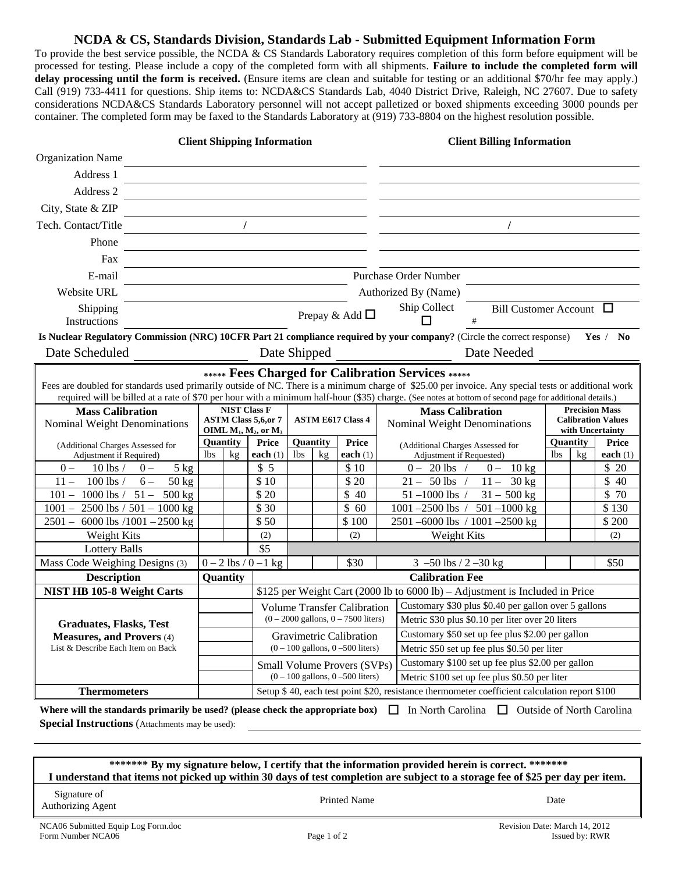## **NCDA & CS, Standards Division, Standards Lab - Submitted Equipment Information Form**

To provide the best service possible, the NCDA & CS Standards Laboratory requires completion of this form before equipment will be processed for testing. Please include a copy of the completed form with all shipments. **Failure to include the completed form will delay processing until the form is received.** (Ensure items are clean and suitable for testing or an additional \$70/hr fee may apply.) Call (919) 733-4411 for questions. Ship items to: NCDA&CS Standards Lab, 4040 District Drive, Raleigh, NC 27607. Due to safety considerations NCDA&CS Standards Laboratory personnel will not accept palletized or boxed shipments exceeding 3000 pounds per container. The completed form may be faxed to the Standards Laboratory at (919) 733-8804 on the highest resolution possible.

| <b>Client Shipping Information</b>                                                                                                                                                                       |     |                                                             |                                       |                                       | <b>Client Billing Information</b> |                          |                                                  |                                                                              |                                                      |                                                                                                                                                         |                 |    |                  |
|----------------------------------------------------------------------------------------------------------------------------------------------------------------------------------------------------------|-----|-------------------------------------------------------------|---------------------------------------|---------------------------------------|-----------------------------------|--------------------------|--------------------------------------------------|------------------------------------------------------------------------------|------------------------------------------------------|---------------------------------------------------------------------------------------------------------------------------------------------------------|-----------------|----|------------------|
| <b>Organization Name</b>                                                                                                                                                                                 |     |                                                             |                                       |                                       |                                   |                          |                                                  |                                                                              |                                                      |                                                                                                                                                         |                 |    |                  |
| Address 1                                                                                                                                                                                                |     |                                                             |                                       |                                       |                                   |                          |                                                  |                                                                              |                                                      |                                                                                                                                                         |                 |    |                  |
| Address 2                                                                                                                                                                                                |     |                                                             |                                       |                                       |                                   |                          |                                                  |                                                                              |                                                      |                                                                                                                                                         |                 |    |                  |
| City, State & ZIP                                                                                                                                                                                        |     |                                                             |                                       |                                       |                                   |                          |                                                  |                                                                              |                                                      |                                                                                                                                                         |                 |    |                  |
| Tech. Contact/Title                                                                                                                                                                                      |     | $\prime$                                                    |                                       |                                       |                                   |                          | $\prime$                                         |                                                                              |                                                      |                                                                                                                                                         |                 |    |                  |
|                                                                                                                                                                                                          |     |                                                             |                                       |                                       |                                   |                          |                                                  |                                                                              |                                                      |                                                                                                                                                         |                 |    |                  |
| Phone                                                                                                                                                                                                    |     |                                                             |                                       |                                       |                                   |                          |                                                  |                                                                              |                                                      |                                                                                                                                                         |                 |    |                  |
|                                                                                                                                                                                                          | Fax |                                                             |                                       |                                       |                                   |                          |                                                  |                                                                              |                                                      |                                                                                                                                                         |                 |    |                  |
| E-mail                                                                                                                                                                                                   |     |                                                             |                                       |                                       |                                   |                          | <b>Purchase Order Number</b>                     |                                                                              |                                                      |                                                                                                                                                         |                 |    |                  |
| Website URL                                                                                                                                                                                              |     |                                                             |                                       |                                       |                                   |                          |                                                  | Authorized By (Name)                                                         |                                                      |                                                                                                                                                         |                 |    |                  |
| Shipping<br>Instructions                                                                                                                                                                                 |     |                                                             | Prepay & Add $\Box$                   |                                       |                                   |                          |                                                  |                                                                              | Ship Collect<br>Bill Customer Account $\Box$<br>$\#$ |                                                                                                                                                         |                 |    |                  |
| Is Nuclear Regulatory Commission (NRC) 10CFR Part 21 compliance required by your company? (Circle the correct response)                                                                                  |     |                                                             |                                       |                                       |                                   |                          |                                                  |                                                                              |                                                      |                                                                                                                                                         |                 |    | Yes / No         |
| Date Scheduled<br>Date Shipped<br>Date Needed                                                                                                                                                            |     |                                                             |                                       |                                       |                                   |                          |                                                  |                                                                              |                                                      |                                                                                                                                                         |                 |    |                  |
|                                                                                                                                                                                                          |     |                                                             |                                       |                                       |                                   |                          |                                                  |                                                                              |                                                      |                                                                                                                                                         |                 |    |                  |
| ***** Fees Charged for Calibration Services *****<br>Fees are doubled for standards used primarily outside of NC. There is a minimum charge of \$25.00 per invoice. Any special tests or additional work |     |                                                             |                                       |                                       |                                   |                          |                                                  |                                                                              |                                                      |                                                                                                                                                         |                 |    |                  |
|                                                                                                                                                                                                          |     |                                                             |                                       |                                       |                                   |                          |                                                  |                                                                              |                                                      | required will be billed at a rate of \$70 per hour with a minimum half-hour (\$35) charge. (See notes at bottom of second page for additional details.) |                 |    |                  |
| <b>Mass Calibration</b>                                                                                                                                                                                  |     | <b>NIST Class F</b>                                         |                                       |                                       |                                   |                          | <b>Mass Calibration</b>                          |                                                                              |                                                      | <b>Precision Mass</b><br><b>Calibration Values</b>                                                                                                      |                 |    |                  |
| Nominal Weight Denominations                                                                                                                                                                             |     | <b>ASTM Class 5,6,or 7</b><br>OIML $M_1$ , $M_2$ , or $M_3$ |                                       |                                       | <b>ASTM E617 Class 4</b>          |                          |                                                  |                                                                              | Nominal Weight Denominations                         |                                                                                                                                                         |                 |    | with Uncertainty |
| (Additional Charges Assessed for                                                                                                                                                                         |     | Quantity                                                    |                                       | <b>Price</b>                          | Quantity                          |                          | <b>Price</b>                                     |                                                                              | (Additional Charges Assessed for                     |                                                                                                                                                         | <b>Ouantity</b> |    | <b>Price</b>     |
| Adjustment if Required)                                                                                                                                                                                  |     | <b>lbs</b>                                                  | kg                                    | each $(1)$                            | <b>lbs</b>                        | kg                       | each $(1)$                                       |                                                                              | Adjustment if Requested)                             |                                                                                                                                                         | <b>lbs</b>      | kg | each $(1)$       |
| $10$ lbs $/$<br>$5$ kg<br>$0 -$<br>$0 -$                                                                                                                                                                 |     |                                                             |                                       | \$5                                   |                                   |                          | \$10                                             |                                                                              | $0 - 20$ lbs /                                       | $0 - 10$ kg                                                                                                                                             |                 |    | \$20             |
| 100 lbs $/$<br>$6-$<br>$11 -$<br>$50 \text{ kg}$<br>$101 - 1000$ lbs $/ 51 - 500$ kg                                                                                                                     |     |                                                             |                                       | \$10<br>\$20                          |                                   |                          | \$20<br>\$40                                     |                                                                              | $21 - 50$ lbs /<br>$51 - 1000$ lbs /                 | $11 - 30$ kg<br>$31 - 500$ kg                                                                                                                           |                 |    | \$40<br>\$70     |
|                                                                                                                                                                                                          |     |                                                             |                                       | \$30                                  |                                   |                          | \$60                                             |                                                                              | 1001 $-2500$ lbs /                                   | $501 - 1000$ kg                                                                                                                                         |                 |    | \$130            |
| $1001 - 2500$ lbs $/ 501 - 1000$ kg<br>$2501 - 6000$ lbs $/1001 - 2500$ kg                                                                                                                               |     |                                                             |                                       | \$50                                  |                                   |                          | \$100                                            |                                                                              |                                                      | 2501-6000 lbs / 1001-2500 kg                                                                                                                            |                 |    | \$200            |
| Weight Kits                                                                                                                                                                                              |     |                                                             |                                       | (2)                                   |                                   |                          | (2)                                              |                                                                              | Weight Kits                                          |                                                                                                                                                         |                 |    | (2)              |
| <b>Lottery Balls</b>                                                                                                                                                                                     |     |                                                             |                                       | \$5                                   |                                   |                          |                                                  |                                                                              |                                                      |                                                                                                                                                         |                 |    |                  |
| Mass Code Weighing Designs (3)                                                                                                                                                                           |     | $0 - 2$ lbs / $0 - 1$ kg                                    |                                       | \$30                                  |                                   | 3 $-50$ lbs $/2 - 30$ kg |                                                  |                                                                              |                                                      | \$50                                                                                                                                                    |                 |    |                  |
| <b>Description</b>                                                                                                                                                                                       |     |                                                             | Quantity                              |                                       |                                   |                          | <b>Calibration Fee</b>                           |                                                                              |                                                      |                                                                                                                                                         |                 |    |                  |
| <b>NIST HB 105-8 Weight Carts</b>                                                                                                                                                                        |     |                                                             |                                       |                                       |                                   |                          |                                                  | \$125 per Weight Cart (2000 lb to 6000 lb) – Adjustment is Included in Price |                                                      |                                                                                                                                                         |                 |    |                  |
|                                                                                                                                                                                                          |     | <b>Volume Transfer Calibration</b>                          |                                       |                                       |                                   |                          |                                                  | Customary \$30 plus \$0.40 per gallon over 5 gallons                         |                                                      |                                                                                                                                                         |                 |    |                  |
| <b>Graduates, Flasks, Test</b>                                                                                                                                                                           |     | $(0 - 2000 \text{ gallons}, 0 - 7500 \text{ liters})$       |                                       |                                       |                                   |                          | Metric \$30 plus \$0.10 per liter over 20 liters |                                                                              |                                                      |                                                                                                                                                         |                 |    |                  |
| <b>Measures, and Provers (4)</b>                                                                                                                                                                         |     | Gravimetric Calibration                                     |                                       |                                       |                                   |                          | Customary \$50 set up fee plus \$2.00 per gallon |                                                                              |                                                      |                                                                                                                                                         |                 |    |                  |
| List & Describe Each Item on Back                                                                                                                                                                        |     |                                                             | $(0 - 100$ gallons, $0 - 500$ liters) |                                       |                                   |                          |                                                  | Metric \$50 set up fee plus \$0.50 per liter                                 |                                                      |                                                                                                                                                         |                 |    |                  |
|                                                                                                                                                                                                          |     |                                                             |                                       | Small Volume Provers (SVPs)           |                                   |                          |                                                  | Customary \$100 set up fee plus \$2.00 per gallon                            |                                                      |                                                                                                                                                         |                 |    |                  |
|                                                                                                                                                                                                          |     |                                                             |                                       | $(0 - 100$ gallons, $0 - 500$ liters) |                                   |                          |                                                  |                                                                              | Metric \$100 set up fee plus \$0.50 per liter        |                                                                                                                                                         |                 |    |                  |
| Setup \$40, each test point \$20, resistance thermometer coefficient calculation report \$100<br><b>Thermometers</b>                                                                                     |     |                                                             |                                       |                                       |                                   |                          |                                                  |                                                                              |                                                      |                                                                                                                                                         |                 |    |                  |
| Where will the standards primarily be used? (please check the appropriate box)<br>$\Box$ Outside of North Carolina<br>ப<br>In North Carolina                                                             |     |                                                             |                                       |                                       |                                   |                          |                                                  |                                                                              |                                                      |                                                                                                                                                         |                 |    |                  |
| <b>Special Instructions</b> (Attachments may be used):                                                                                                                                                   |     |                                                             |                                       |                                       |                                   |                          |                                                  |                                                                              |                                                      |                                                                                                                                                         |                 |    |                  |

 **\*\*\*\*\*\*\* By my signature below, I certify that the information provided herein is correct. \*\*\*\*\*\*\* I understand that items not picked up within 30 days of test completion are subject to a storage fee of \$25 per day per item.** 

Signature of Authorizing Agent Date Date Date Printed Name Date Date Date